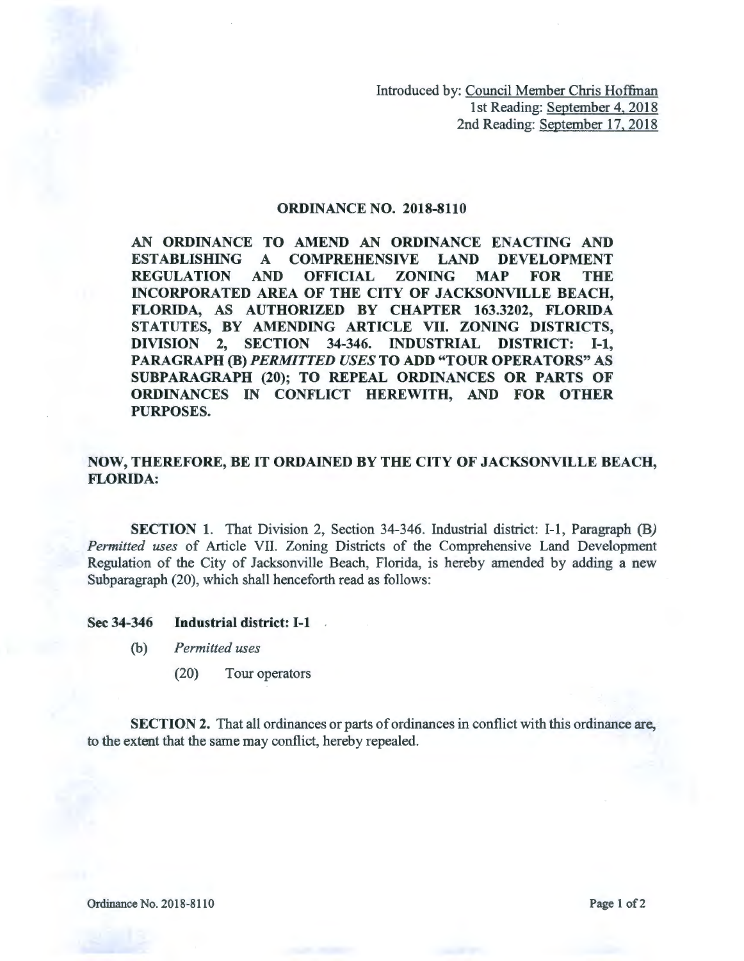Introduced by: Council Member Chris Hoffman 1st Reading: September 4, 2018 2nd Reading: September 17, 2018

## ORDINANCE NO. 2018-8110

AN ORDINANCE TO AMEND AN ORDINANCE ENACTING AND ESTABLISHING A COMPREHENSIVE LAND DEVELOPMENT REGULATION AND OFFICIAL ZONING MAP FOR THE INCORPORATED AREA OF THE CITY OF JACKSONVILLE BEACH, FLORIDA, AS AUTHORIZED BY CHAPTER 163.3202, FLORIDA STATUTES, BY AMENDING ARTICLE VII. ZONING DISTRICTS, DIVISION 2, SECTION 34-346. INDUSTRIAL DISTRICT: 1-1, PARAGRAPH (B) *PERMITTED USES* TO ADD "TOUR OPERATORS" AS SUBPARAGRAPH (20); TO REPEAL ORDINANCES OR PARTS OF ORDINANCES IN CONFLICT HEREWITH, AND FOR OTHER PURPOSES.

## NOW, THEREFORE, BE IT ORDAINED BY THE CITY OF JACKSONVILLE BEACH, FLORIDA:

SECTION 1. That Division 2, Section 34-346. Industrial district: I-1, Paragraph *(B) Permitted uses* of Article VII. Zoning Districts of the Comprehensive Land Development Regulation of the City of Jacksonville Beach, Florida, is hereby amended by adding a new Subparagraph (20), which shall henceforth read as follows:

## Sec 34-346 Industrial district: I-1

- (b) *Permitted uses* 
	- (20) Tour operators

SECTION 2. That all ordinances or parts of ordinances in conflict with this ordinance are, to the extent that the same may conflict, hereby repealed.